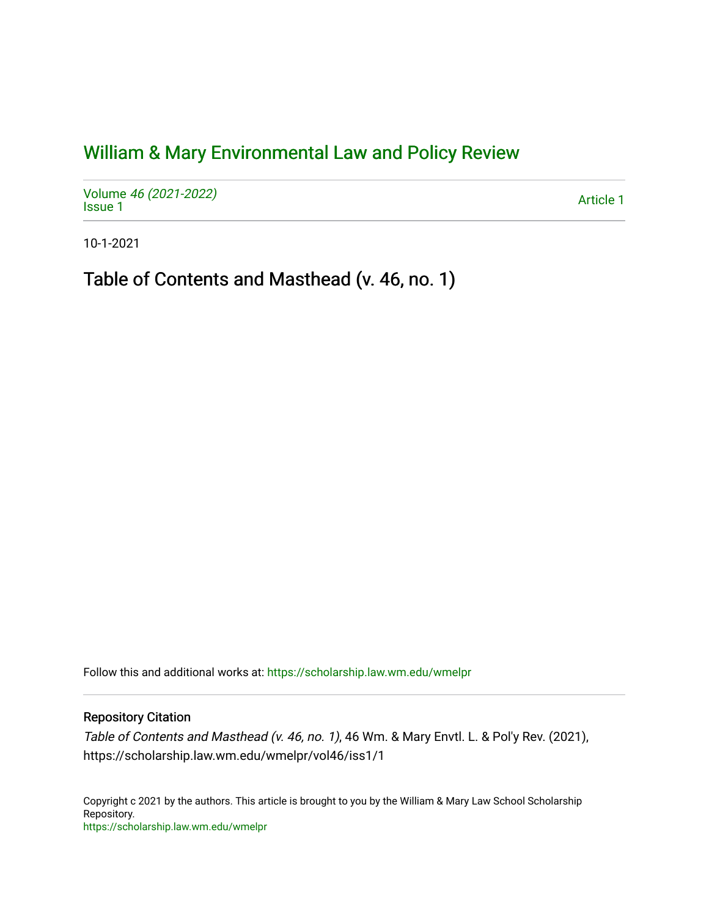## [William & Mary Environmental Law and Policy Review](https://scholarship.law.wm.edu/wmelpr)

Volume [46 \(2021-2022\)](https://scholarship.law.wm.edu/wmelpr/vol46)  volume 40 (2021-2022)<br>[Issue 1](https://scholarship.law.wm.edu/wmelpr/vol46/iss1) Article 1

10-1-2021

Table of Contents and Masthead (v. 46, no. 1)

Follow this and additional works at: [https://scholarship.law.wm.edu/wmelpr](https://scholarship.law.wm.edu/wmelpr?utm_source=scholarship.law.wm.edu%2Fwmelpr%2Fvol46%2Fiss1%2F1&utm_medium=PDF&utm_campaign=PDFCoverPages)

## Repository Citation

Table of Contents and Masthead (v. 46, no. 1), 46 Wm. & Mary Envtl. L. & Pol'y Rev. (2021), https://scholarship.law.wm.edu/wmelpr/vol46/iss1/1

Copyright c 2021 by the authors. This article is brought to you by the William & Mary Law School Scholarship Repository. <https://scholarship.law.wm.edu/wmelpr>